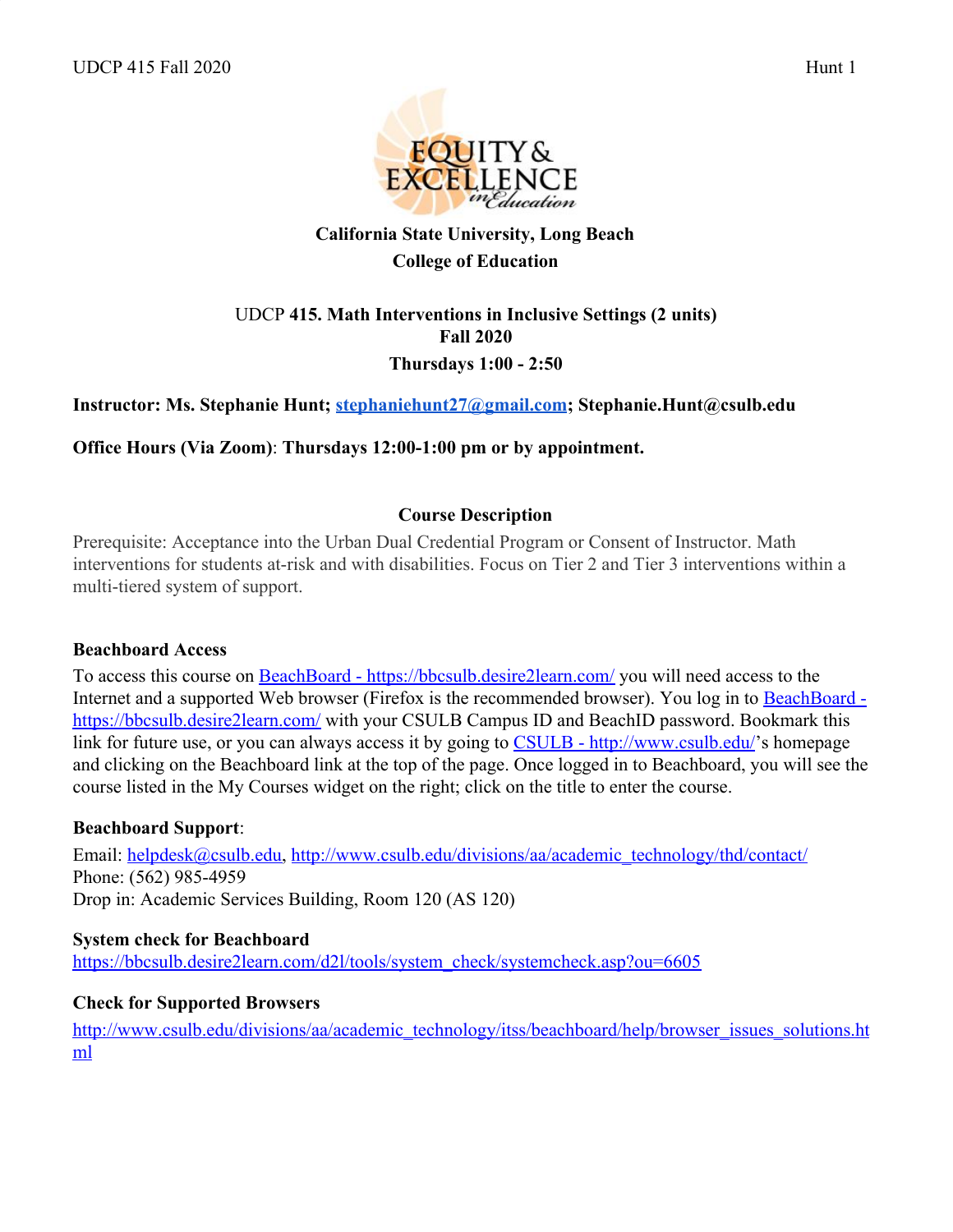

# **California State University, Long Beach College of Education**

# UDCP **415. Math Interventions in Inclusive Settings (2 units) Fall 2020 Thursdays 1:00 - 2:50**

# **Instructor: Ms. Stephanie Hunt; stephaniehunt27@gmail.com; Stephanie.Hunt@csulb.edu**

**Office Hours (Via Zoom)**: **Thursdays 12:00-1:00 pm or by appointment.**

### **Course Description**

Prerequisite: Acceptance into the Urban Dual Credential Program or Consent of Instructor. Math interventions for students at-risk and with disabilities. Focus on Tier 2 and Tier 3 interventions within a multi-tiered system of support.

#### **Beachboard Access**

To access this course on BeachBoard - https://bbcsulb.desire2learn.com/ you will need access to the Internet and a supported Web browser (Firefox is the recommended browser). You log in to BeachBoard https://bbcsulb.desire2learn.com/ with your CSULB Campus ID and BeachID password. Bookmark this link for future use, or you can always access it by going to CSULB - http://www.csulb.edu/'s homepage and clicking on the Beachboard link at the top of the page. Once logged in to Beachboard, you will see the course listed in the My Courses widget on the right; click on the title to enter the course.

#### **Beachboard Support**:

Email: helpdesk@csulb.edu, http://www.csulb.edu/divisions/aa/academic\_technology/thd/contact/ Phone: (562) 985-4959 Drop in: Academic Services Building, Room 120 (AS 120)

#### **System check for Beachboard**

https://bbcsulb.desire2learn.com/d2l/tools/system\_check/systemcheck.asp?ou=6605

#### **Check for Supported Browsers**

http://www.csulb.edu/divisions/aa/academic\_technology/itss/beachboard/help/browser\_issues\_solutions.ht ml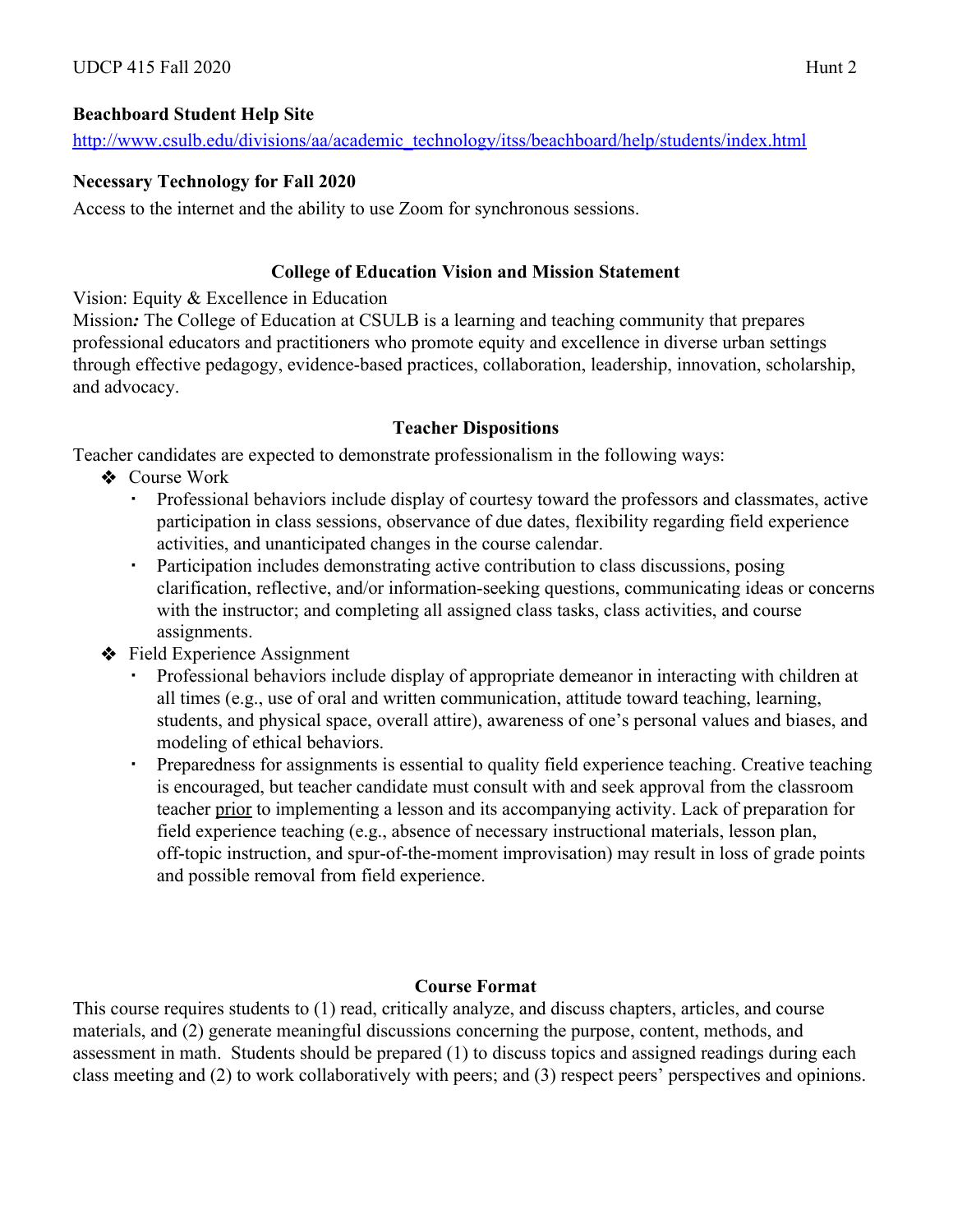# **Beachboard Student Help Site**

http://www.csulb.edu/divisions/aa/academic\_technology/itss/beachboard/help/students/index.html

# **Necessary Technology for Fall 2020**

Access to the internet and the ability to use Zoom for synchronous sessions.

### **College of Education Vision and Mission Statement**

Vision: Equity & Excellence in Education

Mission*:* The College of Education at CSULB is a learning and teaching community that prepares professional educators and practitioners who promote equity and excellence in diverse urban settings through effective pedagogy, evidence-based practices, collaboration, leadership, innovation, scholarship, and advocacy.

# **Teacher Dispositions**

Teacher candidates are expected to demonstrate professionalism in the following ways:

- ❖ Course Work
	- Professional behaviors include display of courtesy toward the professors and classmates, active participation in class sessions, observance of due dates, flexibility regarding field experience activities, and unanticipated changes in the course calendar.
	- Participation includes demonstrating active contribution to class discussions, posing clarification, reflective, and/or information-seeking questions, communicating ideas or concerns with the instructor; and completing all assigned class tasks, class activities, and course assignments.
- ❖ Field Experience Assignment
	- Professional behaviors include display of appropriate demeanor in interacting with children at all times (e.g., use of oral and written communication, attitude toward teaching, learning, students, and physical space, overall attire), awareness of one's personal values and biases, and modeling of ethical behaviors.
	- Preparedness for assignments is essential to quality field experience teaching. Creative teaching is encouraged, but teacher candidate must consult with and seek approval from the classroom teacher prior to implementing a lesson and its accompanying activity. Lack of preparation for field experience teaching (e.g., absence of necessary instructional materials, lesson plan, off-topic instruction, and spur-of-the-moment improvisation) may result in loss of grade points and possible removal from field experience.

# **Course Format**

This course requires students to (1) read, critically analyze, and discuss chapters, articles, and course materials, and (2) generate meaningful discussions concerning the purpose, content, methods, and assessment in math. Students should be prepared (1) to discuss topics and assigned readings during each class meeting and (2) to work collaboratively with peers; and (3) respect peers' perspectives and opinions.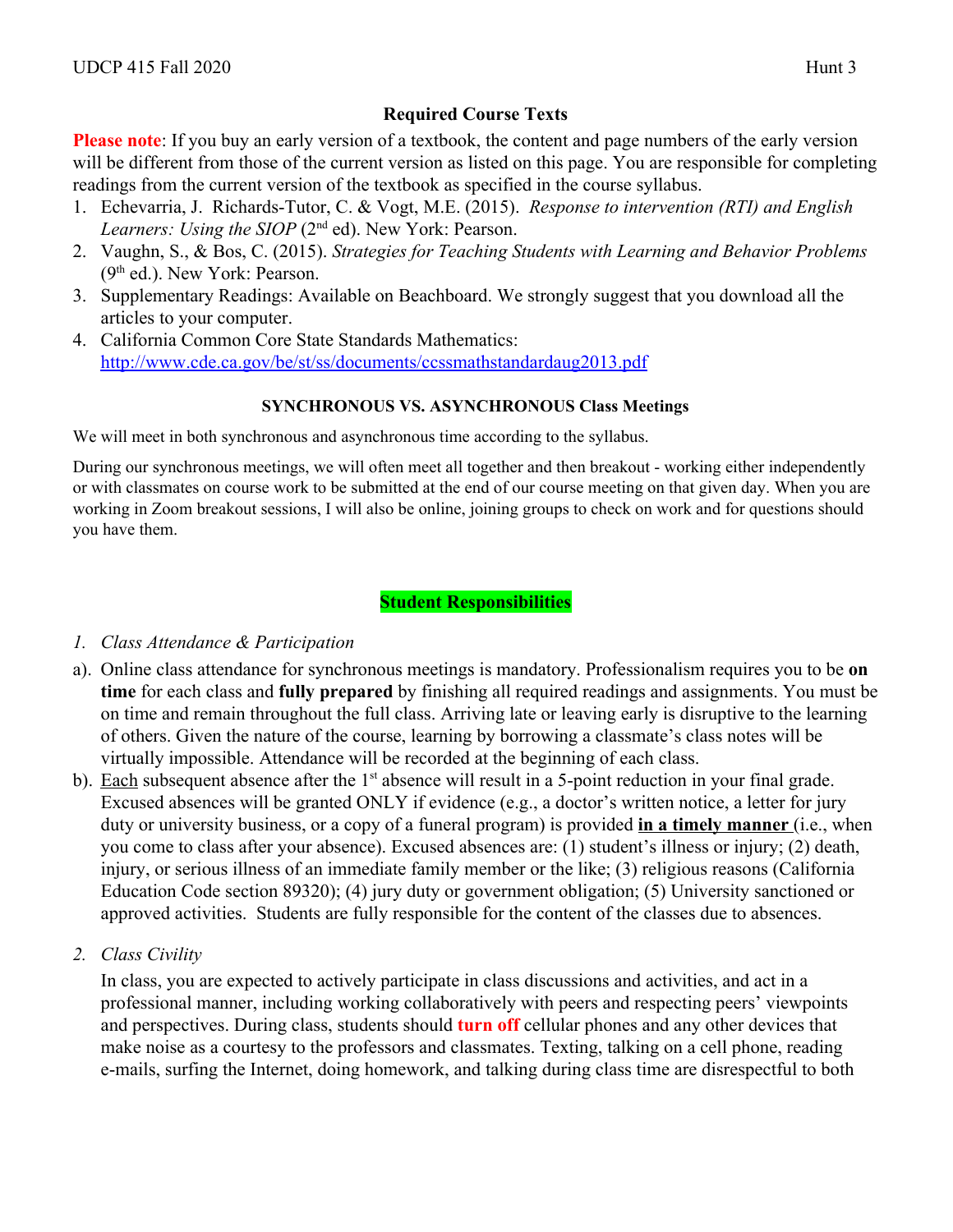# **Required Course Texts**

**Please note**: If you buy an early version of a textbook, the content and page numbers of the early version will be different from those of the current version as listed on this page. You are responsible for completing readings from the current version of the textbook as specified in the course syllabus.

- 1. Echevarria, J. Richards-Tutor, C. & Vogt, M.E. (2015). *Response to intervention (RTI) and English* Learners: Using the SIOP (2<sup>nd</sup> ed). New York: Pearson.
- 2. Vaughn, S., & Bos, C. (2015). *Strategies for Teaching Students with Learning and Behavior Problems* (9th ed.). New York: Pearson.
- 3. Supplementary Readings: Available on Beachboard. We strongly suggest that you download all the articles to your computer.
- 4. California Common Core State Standards Mathematics: http://www.cde.ca.gov/be/st/ss/documents/ccssmathstandardaug2013.pdf

### **SYNCHRONOUS VS. ASYNCHRONOUS Class Meetings**

We will meet in both synchronous and asynchronous time according to the syllabus.

During our synchronous meetings, we will often meet all together and then breakout - working either independently or with classmates on course work to be submitted at the end of our course meeting on that given day. When you are working in Zoom breakout sessions, I will also be online, joining groups to check on work and for questions should you have them.

# **Student Responsibilities**

#### *1. Class Attendance & Participation*

- a). Online class attendance for synchronous meetings is mandatory. Professionalism requires you to be **on time** for each class and **fully prepared** by finishing all required readings and assignments. You must be on time and remain throughout the full class. Arriving late or leaving early is disruptive to the learning of others. Given the nature of the course, learning by borrowing a classmate's class notes will be virtually impossible. Attendance will be recorded at the beginning of each class.
- b). Each subsequent absence after the  $1<sup>st</sup>$  absence will result in a 5-point reduction in your final grade. Excused absences will be granted ONLY if evidence (e.g., a doctor's written notice, a letter for jury duty or university business, or a copy of a funeral program) is provided **in a timely manner** (i.e., when you come to class after your absence). Excused absences are: (1) student's illness or injury; (2) death, injury, or serious illness of an immediate family member or the like; (3) religious reasons (California Education Code section 89320); (4) jury duty or government obligation; (5) University sanctioned or approved activities. Students are fully responsible for the content of the classes due to absences.
- *2. Class Civility*

In class, you are expected to actively participate in class discussions and activities, and act in a professional manner, including working collaboratively with peers and respecting peers' viewpoints and perspectives. During class, students should **turn off** cellular phones and any other devices that make noise as a courtesy to the professors and classmates. Texting, talking on a cell phone, reading e-mails, surfing the Internet, doing homework, and talking during class time are disrespectful to both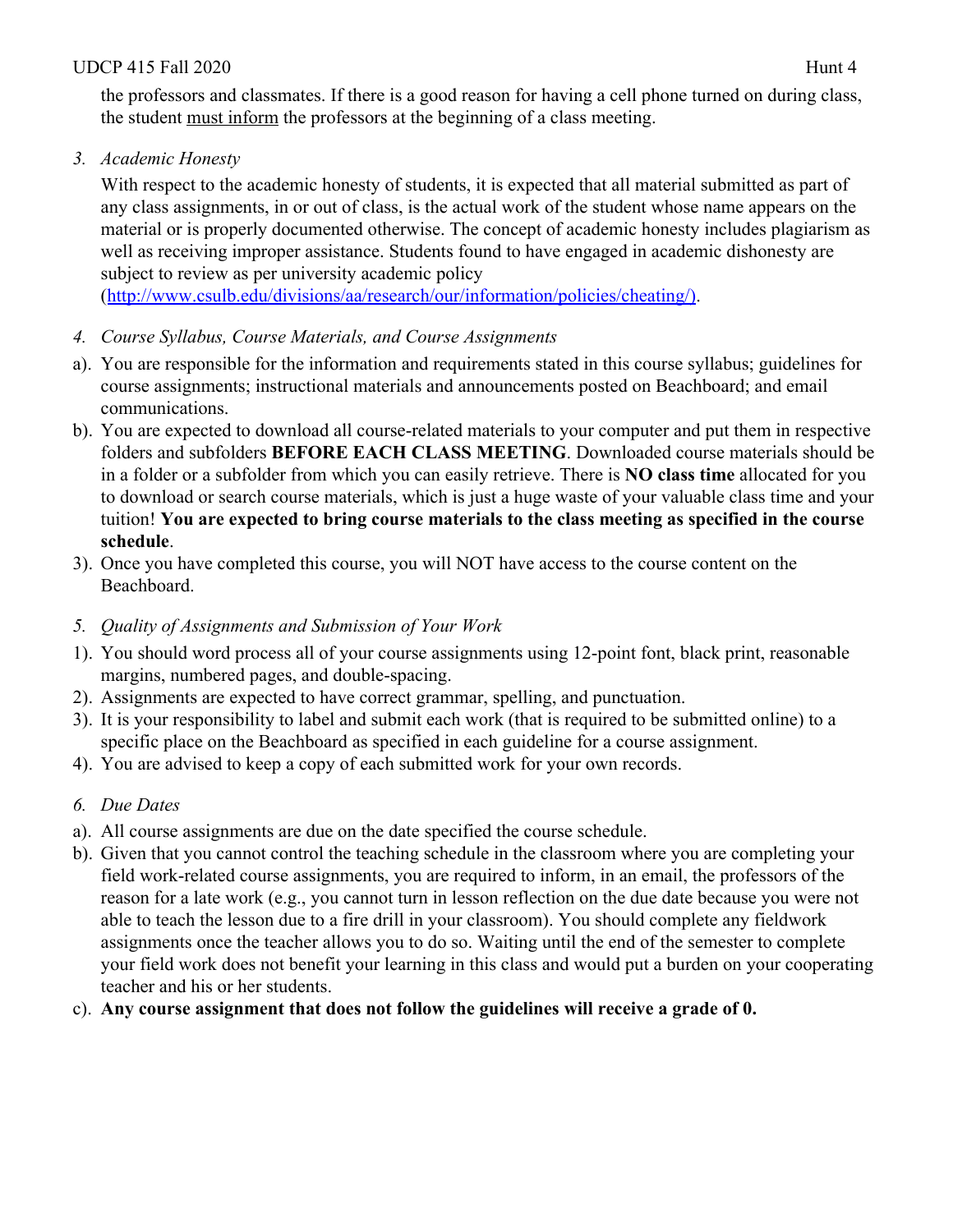### UDCP 415 Fall 2020  $\mu$  11 Hunt 4

the professors and classmates. If there is a good reason for having a cell phone turned on during class, the student must inform the professors at the beginning of a class meeting.

*3. Academic Honesty*

With respect to the academic honesty of students, it is expected that all material submitted as part of any class assignments, in or out of class, is the actual work of the student whose name appears on the material or is properly documented otherwise. The concept of academic honesty includes plagiarism as well as receiving improper assistance. Students found to have engaged in academic dishonesty are subject to review as per university academic policy

(http://www.csulb.edu/divisions/aa/research/our/information/policies/cheating/).

- *4. Course Syllabus, Course Materials, and Course Assignments*
- a). You are responsible for the information and requirements stated in this course syllabus; guidelines for course assignments; instructional materials and announcements posted on Beachboard; and email communications.
- b). You are expected to download all course-related materials to your computer and put them in respective folders and subfolders **BEFORE EACH CLASS MEETING**. Downloaded course materials should be in a folder or a subfolder from which you can easily retrieve. There is **NO class time** allocated for you to download or search course materials, which is just a huge waste of your valuable class time and your tuition! **You are expected to bring course materials to the class meeting as specified in the course schedule**.
- 3). Once you have completed this course, you will NOT have access to the course content on the Beachboard.
- *5. Quality of Assignments and Submission of Your Work*
- 1). You should word process all of your course assignments using 12-point font, black print, reasonable margins, numbered pages, and double-spacing.
- 2). Assignments are expected to have correct grammar, spelling, and punctuation.
- 3). It is your responsibility to label and submit each work (that is required to be submitted online) to a specific place on the Beachboard as specified in each guideline for a course assignment.
- 4). You are advised to keep a copy of each submitted work for your own records.
- *6. Due Dates*
- a). All course assignments are due on the date specified the course schedule.
- b). Given that you cannot control the teaching schedule in the classroom where you are completing your field work-related course assignments, you are required to inform, in an email, the professors of the reason for a late work (e.g., you cannot turn in lesson reflection on the due date because you were not able to teach the lesson due to a fire drill in your classroom). You should complete any fieldwork assignments once the teacher allows you to do so. Waiting until the end of the semester to complete your field work does not benefit your learning in this class and would put a burden on your cooperating teacher and his or her students.
- c). **Any course assignment that does not follow the guidelines will receive a grade of 0.**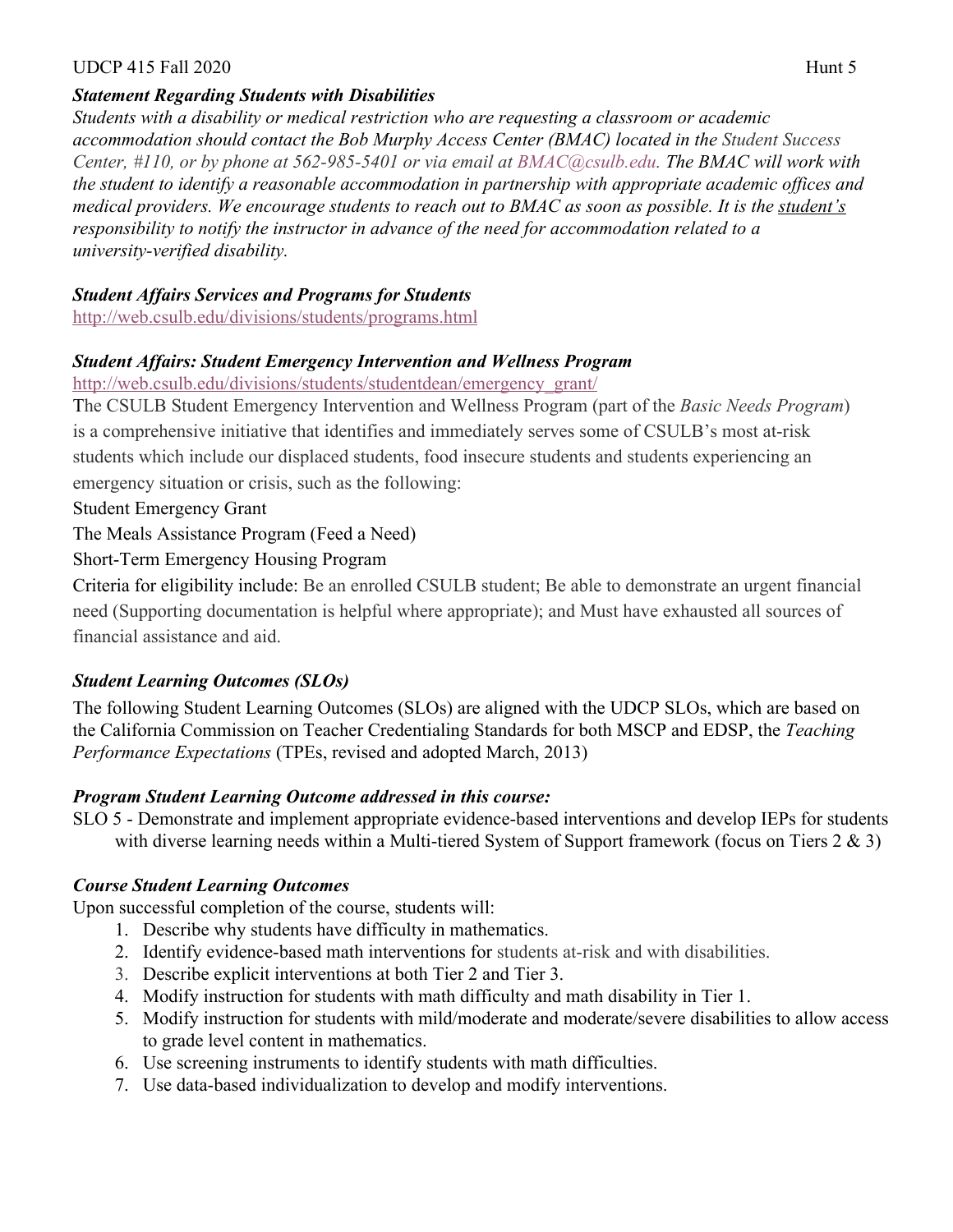#### UDCP 415 Fall 2020  $\mu$  5 Hunt 5

### *Statement Regarding Students with Disabilities*

*Students with a disability or medical restriction who are requesting a classroom or academic accommodation should contact the Bob Murphy Access Center (BMAC) located in the Student Success Center, #110, or by phone at 562-985-5401 or via email at BMAC@csulb.edu. The BMAC will work with the student to identify a reasonable accommodation in partnership with appropriate academic offices and medical providers. We encourage students to reach out to BMAC as soon as possible. It is the student's responsibility to notify the instructor in advance of the need for accommodation related to a university-verified disability.*

#### *Student Affairs Services and Programs for Students*

http://web.csulb.edu/divisions/students/programs.html

### *Student Affairs: Student Emergency Intervention and Wellness Program*

http://web.csulb.edu/divisions/students/studentdean/emergency\_grant/

The CSULB Student Emergency Intervention and Wellness Program (part of the *Basic Needs Program*) is a comprehensive initiative that identifies and immediately serves some of CSULB's most at-risk students which include our displaced students, food insecure students and students experiencing an emergency situation or crisis, such as the following:

Student Emergency Grant

The Meals Assistance Program (Feed a Need)

# Short-Term Emergency Housing Program

Criteria for eligibility include: Be an enrolled CSULB student; Be able to demonstrate an urgent financial need (Supporting documentation is helpful where appropriate); and Must have exhausted all sources of financial assistance and aid.

# *Student Learning Outcomes (SLOs)*

The following Student Learning Outcomes (SLOs) are aligned with the UDCP SLOs, which are based on the California Commission on Teacher Credentialing Standards for both MSCP and EDSP, the *Teaching Performance Expectations* (TPEs, revised and adopted March, 2013)

# *Program Student Learning Outcome addressed in this course:*

SLO 5 - Demonstrate and implement appropriate evidence-based interventions and develop IEPs for students with diverse learning needs within a Multi-tiered System of Support framework (focus on Tiers 2 & 3)

# *Course Student Learning Outcomes*

Upon successful completion of the course, students will:

- 1. Describe why students have difficulty in mathematics.
- 2. Identify evidence-based math interventions for students at-risk and with disabilities.
- 3. Describe explicit interventions at both Tier 2 and Tier 3.
- 4. Modify instruction for students with math difficulty and math disability in Tier 1.
- 5. Modify instruction for students with mild/moderate and moderate/severe disabilities to allow access to grade level content in mathematics.
- 6. Use screening instruments to identify students with math difficulties.
- 7. Use data-based individualization to develop and modify interventions.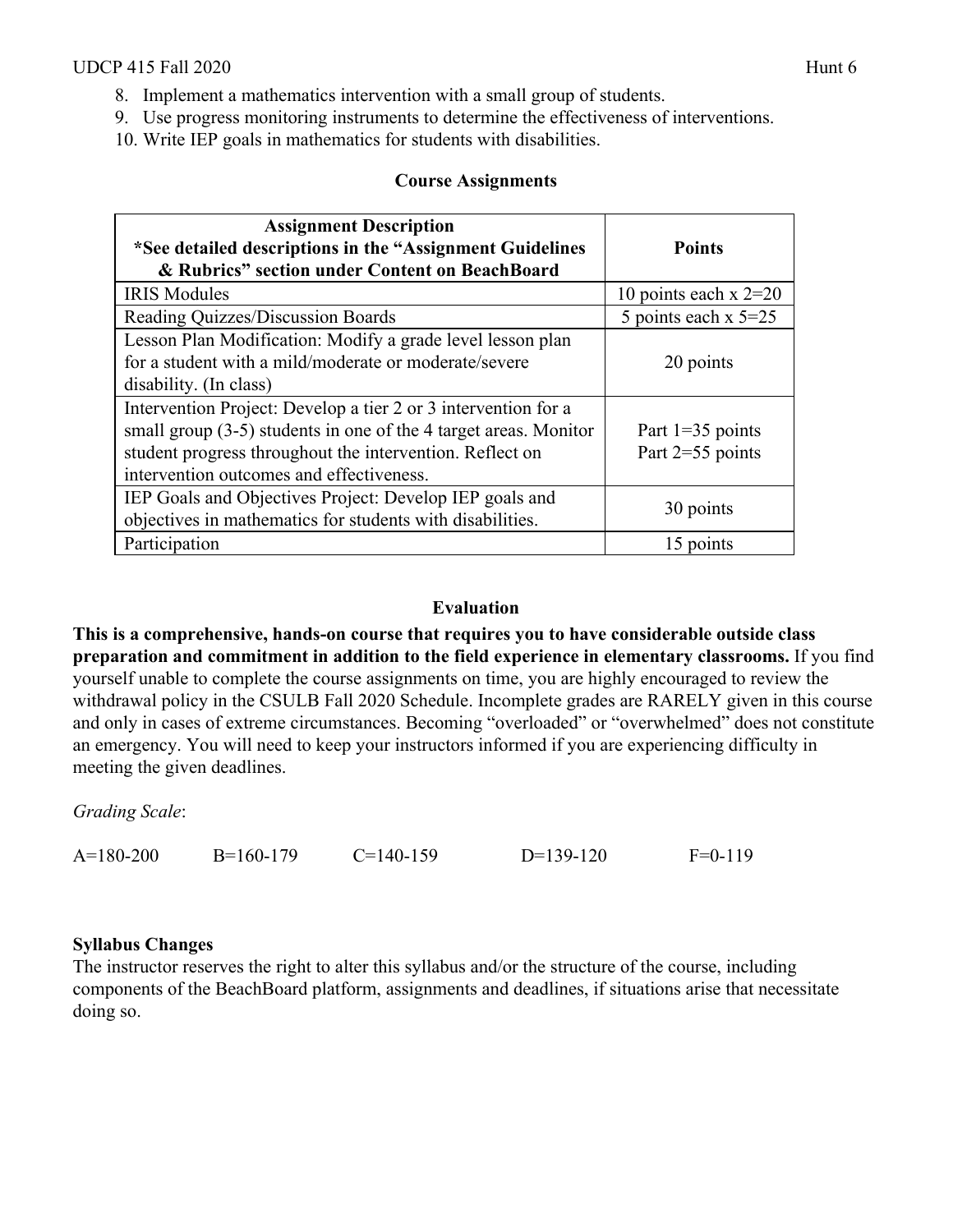- 8. Implement a mathematics intervention with a small group of students.
- 9. Use progress monitoring instruments to determine the effectiveness of interventions.
- 10. Write IEP goals in mathematics for students with disabilities.

#### **Course Assignments**

| <b>Assignment Description</b><br>*See detailed descriptions in the "Assignment Guidelines"<br>& Rubrics" section under Content on BeachBoard                                                                                                 | <b>Points</b>                            |
|----------------------------------------------------------------------------------------------------------------------------------------------------------------------------------------------------------------------------------------------|------------------------------------------|
| <b>IRIS Modules</b>                                                                                                                                                                                                                          | 10 points each $x = 20$                  |
| Reading Quizzes/Discussion Boards                                                                                                                                                                                                            | 5 points each $x$ 5=25                   |
| Lesson Plan Modification: Modify a grade level lesson plan<br>for a student with a mild/moderate or moderate/severe<br>disability. (In class)                                                                                                | 20 points                                |
| Intervention Project: Develop a tier 2 or 3 intervention for a<br>small group $(3-5)$ students in one of the 4 target areas. Monitor<br>student progress throughout the intervention. Reflect on<br>intervention outcomes and effectiveness. | Part $1=35$ points<br>Part $2=55$ points |
| IEP Goals and Objectives Project: Develop IEP goals and<br>objectives in mathematics for students with disabilities.                                                                                                                         | 30 points                                |
| Participation                                                                                                                                                                                                                                | 15 points                                |

#### **Evaluation**

**This is a comprehensive, hands-on course that requires you to have considerable outside class preparation and commitment in addition to the field experience in elementary classrooms.** If you find yourself unable to complete the course assignments on time, you are highly encouraged to review the withdrawal policy in the CSULB Fall 2020 Schedule. Incomplete grades are RARELY given in this course and only in cases of extreme circumstances. Becoming "overloaded" or "overwhelmed" does not constitute an emergency. You will need to keep your instructors informed if you are experiencing difficulty in meeting the given deadlines.

*Grading Scale*:

| $A=180-200$ | $B=160-179$ | $C=140-159$ | $D=139-120$ | $F=0-119$ |
|-------------|-------------|-------------|-------------|-----------|
|             |             |             |             |           |

#### **Syllabus Changes**

The instructor reserves the right to alter this syllabus and/or the structure of the course, including components of the BeachBoard platform, assignments and deadlines, if situations arise that necessitate doing so.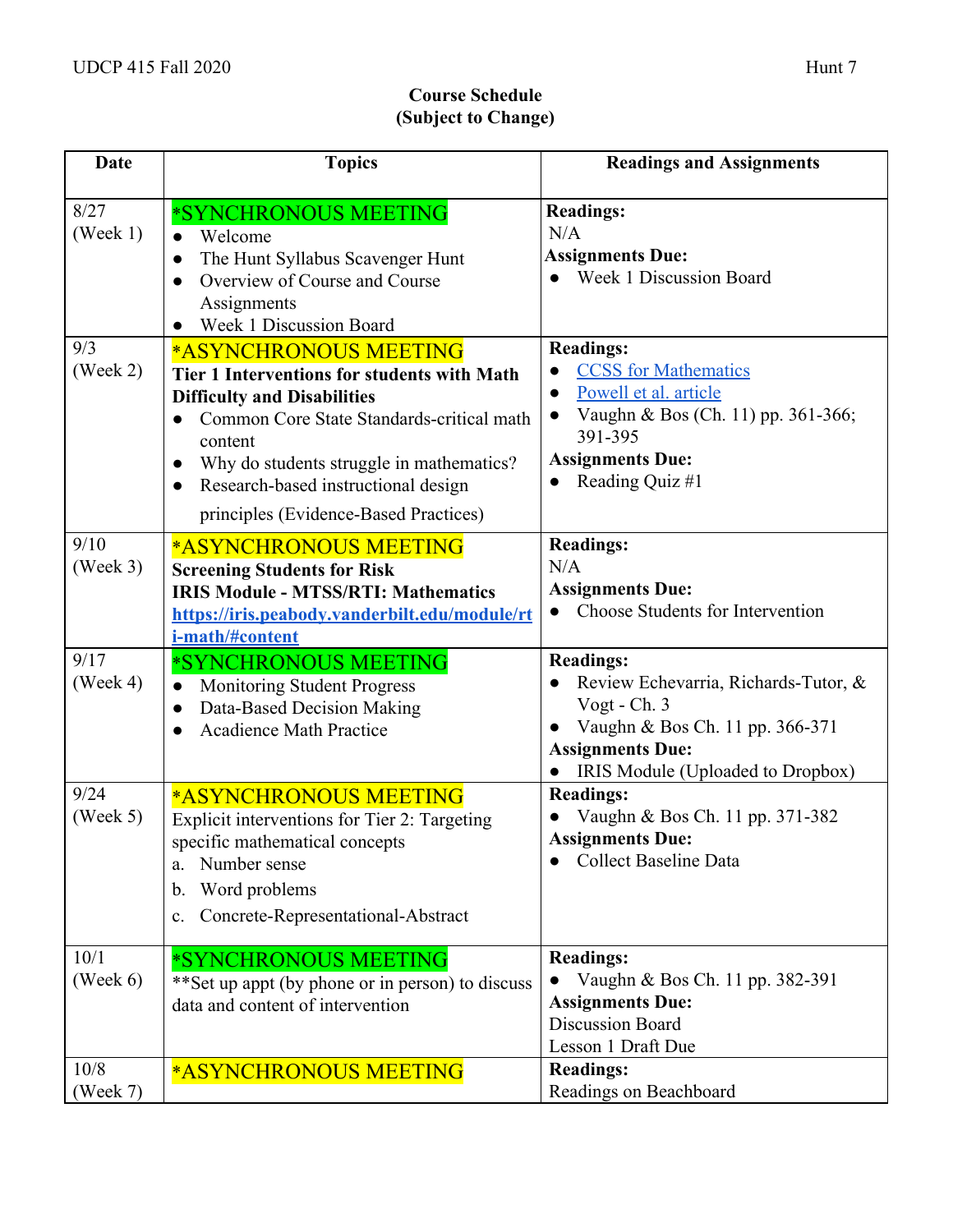# **Course Schedule (Subject to Change)**

| <b>Date</b>                  | <b>Topics</b>                                                                                                                                                                                                                                                                                                                   | <b>Readings and Assignments</b>                                                                                                                                                                   |
|------------------------------|---------------------------------------------------------------------------------------------------------------------------------------------------------------------------------------------------------------------------------------------------------------------------------------------------------------------------------|---------------------------------------------------------------------------------------------------------------------------------------------------------------------------------------------------|
| 8/27<br>(Week 1)             | *SYNCHRONOUS MEETING<br>Welcome<br>The Hunt Syllabus Scavenger Hunt<br>$\bullet$<br>Overview of Course and Course<br>Assignments<br>Week 1 Discussion Board                                                                                                                                                                     | <b>Readings:</b><br>N/A<br><b>Assignments Due:</b><br>Week 1 Discussion Board                                                                                                                     |
| 9/3<br>(Week 2)              | <b>*ASYNCHRONOUS MEETING</b><br>Tier 1 Interventions for students with Math<br><b>Difficulty and Disabilities</b><br>Common Core State Standards-critical math<br>content<br>Why do students struggle in mathematics?<br>$\bullet$<br>Research-based instructional design<br>$\bullet$<br>principles (Evidence-Based Practices) | <b>Readings:</b><br><b>CCSS</b> for Mathematics<br>Powell et al. article<br>$\bullet$<br>Vaughn & Bos (Ch. 11) pp. 361-366;<br>$\bullet$<br>391-395<br><b>Assignments Due:</b><br>Reading Quiz #1 |
| 9/10<br>(Week 3)             | <b>*ASYNCHRONOUS MEETING</b><br><b>Screening Students for Risk</b><br><b>IRIS Module - MTSS/RTI: Mathematics</b><br>https://iris.peabody.vanderbilt.edu/module/rt<br>i-math/#content                                                                                                                                            | <b>Readings:</b><br>N/A<br><b>Assignments Due:</b><br>Choose Students for Intervention<br>$\bullet$                                                                                               |
| 9/17<br>$( \text{Week } 4 )$ | *SYNCHRONOUS MEETING<br><b>Monitoring Student Progress</b><br>$\bullet$<br>Data-Based Decision Making<br>$\bullet$<br><b>Acadience Math Practice</b>                                                                                                                                                                            | <b>Readings:</b><br>Review Echevarria, Richards-Tutor, &<br>Vogt - Ch. 3<br>Vaughn & Bos Ch. 11 pp. 366-371<br><b>Assignments Due:</b><br>IRIS Module (Uploaded to Dropbox)                       |
| 9/24<br>(Week 5)             | <b>*ASYNCHRONOUS MEETING</b><br>Explicit interventions for Tier 2: Targeting<br>specific mathematical concepts<br>Number sense<br>a.<br>Word problems<br>$\mathbf b$ .<br>Concrete-Representational-Abstract<br>c.                                                                                                              | <b>Readings:</b><br>Vaughn & Bos Ch. 11 pp. 371-382<br><b>Assignments Due:</b><br><b>Collect Baseline Data</b>                                                                                    |
| 10/1<br>$( \text{Week } 6)$  | *SYNCHRONOUS MEETING<br>** Set up appt (by phone or in person) to discuss<br>data and content of intervention                                                                                                                                                                                                                   | <b>Readings:</b><br>Vaughn & Bos Ch. 11 pp. 382-391<br>$\bullet$<br><b>Assignments Due:</b><br><b>Discussion Board</b><br>Lesson 1 Draft Due                                                      |
| 10/8<br>(Week 7)             | *ASYNCHRONOUS MEETING                                                                                                                                                                                                                                                                                                           | <b>Readings:</b><br>Readings on Beachboard                                                                                                                                                        |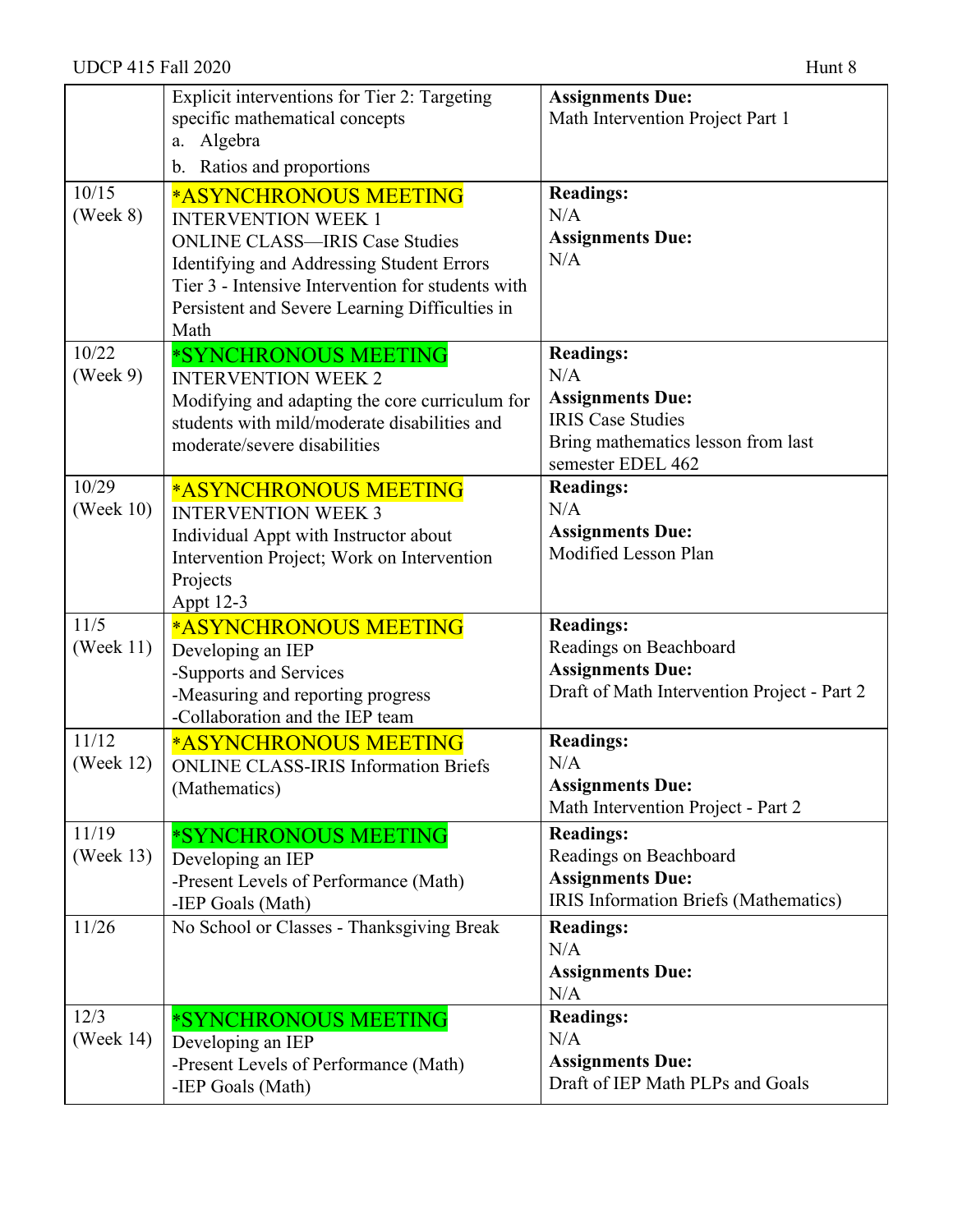|                              | Explicit interventions for Tier 2: Targeting<br>specific mathematical concepts<br>Algebra<br>a.<br>b. Ratios and proportions                                                                                                                             | <b>Assignments Due:</b><br>Math Intervention Project Part 1                                                                               |
|------------------------------|----------------------------------------------------------------------------------------------------------------------------------------------------------------------------------------------------------------------------------------------------------|-------------------------------------------------------------------------------------------------------------------------------------------|
| 10/15<br>$( \text{Week } 8)$ | *ASYNCHRONOUS MEETING<br><b>INTERVENTION WEEK 1</b><br><b>ONLINE CLASS—IRIS Case Studies</b><br>Identifying and Addressing Student Errors<br>Tier 3 - Intensive Intervention for students with<br>Persistent and Severe Learning Difficulties in<br>Math | <b>Readings:</b><br>N/A<br><b>Assignments Due:</b><br>N/A                                                                                 |
| 10/22<br>(Week 9)            | *SYNCHRONOUS MEETING<br><b>INTERVENTION WEEK 2</b><br>Modifying and adapting the core curriculum for<br>students with mild/moderate disabilities and<br>moderate/severe disabilities                                                                     | <b>Readings:</b><br>N/A<br><b>Assignments Due:</b><br><b>IRIS Case Studies</b><br>Bring mathematics lesson from last<br>semester EDEL 462 |
| 10/29<br>(Week $10$ )        | *ASYNCHRONOUS MEETING<br><b>INTERVENTION WEEK 3</b><br>Individual Appt with Instructor about<br>Intervention Project; Work on Intervention<br>Projects<br>Appt 12-3                                                                                      | <b>Readings:</b><br>N/A<br><b>Assignments Due:</b><br>Modified Lesson Plan                                                                |
| 11/5<br>(Week $11$ )         | <b>*ASYNCHRONOUS MEETING</b><br>Developing an IEP<br>-Supports and Services<br>-Measuring and reporting progress<br>-Collaboration and the IEP team                                                                                                      | <b>Readings:</b><br>Readings on Beachboard<br><b>Assignments Due:</b><br>Draft of Math Intervention Project - Part 2                      |
| 11/12<br>(Week 12)           | <b>*ASYNCHRONOUS MEETING</b><br><b>ONLINE CLASS-IRIS Information Briefs</b><br>(Mathematics)                                                                                                                                                             | <b>Readings:</b><br>N/A<br><b>Assignments Due:</b><br>Math Intervention Project - Part 2                                                  |
| 11/19<br>(Week $13$ )        | *SYNCHRONOUS MEETING<br>Developing an IEP<br>-Present Levels of Performance (Math)<br>-IEP Goals (Math)                                                                                                                                                  | <b>Readings:</b><br>Readings on Beachboard<br><b>Assignments Due:</b><br>IRIS Information Briefs (Mathematics)                            |
| 11/26                        | No School or Classes - Thanksgiving Break                                                                                                                                                                                                                | <b>Readings:</b><br>N/A<br><b>Assignments Due:</b><br>N/A                                                                                 |
| 12/3<br>(Week 14)            | *SYNCHRONOUS MEETING<br>Developing an IEP<br>-Present Levels of Performance (Math)<br>-IEP Goals (Math)                                                                                                                                                  | <b>Readings:</b><br>N/A<br><b>Assignments Due:</b><br>Draft of IEP Math PLPs and Goals                                                    |